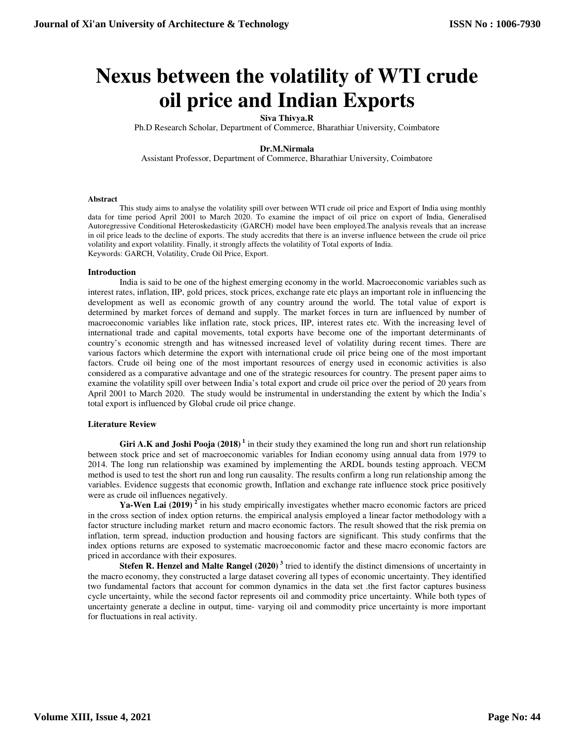# **Nexus between the volatility of WTI crude oil price and Indian Exports**

## **Siva Thivya.R**

Ph.D Research Scholar, Department of Commerce, Bharathiar University, Coimbatore

### **Dr.M.Nirmala**

Assistant Professor, Department of Commerce, Bharathiar University, Coimbatore

#### **Abstract**

This study aims to analyse the volatility spill over between WTI crude oil price and Export of India using monthly data for time period April 2001 to March 2020. To examine the impact of oil price on export of India, Generalised Autoregressive Conditional Heteroskedasticity (GARCH) model have been employed.The analysis reveals that an increase in oil price leads to the decline of exports. The study accredits that there is an inverse influence between the crude oil price volatility and export volatility. Finally, it strongly affects the volatility of Total exports of India. Keywords: GARCH, Volatility, Crude Oil Price, Export.

#### **Introduction**

India is said to be one of the highest emerging economy in the world. Macroeconomic variables such as interest rates, inflation, IIP, gold prices, stock prices, exchange rate etc plays an important role in influencing the development as well as economic growth of any country around the world. The total value of export is determined by market forces of demand and supply. The market forces in turn are influenced by number of macroeconomic variables like inflation rate, stock prices, IIP, interest rates etc. With the increasing level of international trade and capital movements, total exports have become one of the important determinants of country's economic strength and has witnessed increased level of volatility during recent times. There are various factors which determine the export with international crude oil price being one of the most important factors. Crude oil being one of the most important resources of energy used in economic activities is also considered as a comparative advantage and one of the strategic resources for country. The present paper aims to examine the volatility spill over between India's total export and crude oil price over the period of 20 years from April 2001 to March 2020. The study would be instrumental in understanding the extent by which the India's total export is influenced by Global crude oil price change.

#### **Literature Review**

Giri A.K and Joshi Pooja (2018)<sup>1</sup> in their study they examined the long run and short run relationship between stock price and set of macroeconomic variables for Indian economy using annual data from 1979 to 2014. The long run relationship was examined by implementing the ARDL bounds testing approach. VECM method is used to test the short run and long run causality. The results confirm a long run relationship among the variables. Evidence suggests that economic growth, Inflation and exchange rate influence stock price positively were as crude oil influences negatively.

**Ya-Wen Lai (2019)<sup>2</sup>** in his study empirically investigates whether macro economic factors are priced in the cross section of index option returns. the empirical analysis employed a linear factor methodology with a factor structure including market return and macro economic factors. The result showed that the risk premia on inflation, term spread, induction production and housing factors are significant. This study confirms that the index options returns are exposed to systematic macroeconomic factor and these macro economic factors are priced in accordance with their exposures.

**Stefen R. Henzel and Malte Rangel (2020)<sup>3</sup>** tried to identify the distinct dimensions of uncertainty in the macro economy, they constructed a large dataset covering all types of economic uncertainty. They identified two fundamental factors that account for common dynamics in the data set .the first factor captures business cycle uncertainty, while the second factor represents oil and commodity price uncertainty. While both types of uncertainty generate a decline in output, time- varying oil and commodity price uncertainty is more important for fluctuations in real activity.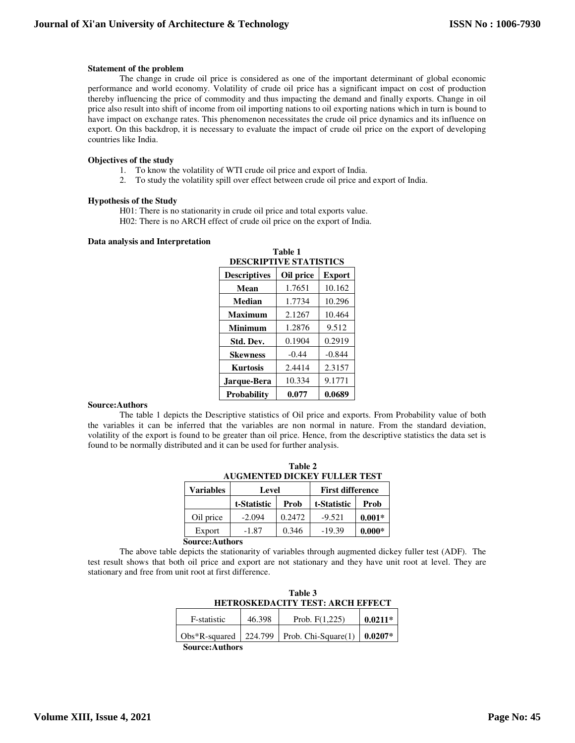#### **Statement of the problem**

The change in crude oil price is considered as one of the important determinant of global economic performance and world economy. Volatility of crude oil price has a significant impact on cost of production thereby influencing the price of commodity and thus impacting the demand and finally exports. Change in oil price also result into shift of income from oil importing nations to oil exporting nations which in turn is bound to have impact on exchange rates. This phenomenon necessitates the crude oil price dynamics and its influence on export. On this backdrop, it is necessary to evaluate the impact of crude oil price on the export of developing countries like India.

#### **Objectives of the study**

- 1. To know the volatility of WTI crude oil price and export of India.
- 2. To study the volatility spill over effect between crude oil price and export of India.

#### **Hypothesis of the Study**

H01: There is no stationarity in crude oil price and total exports value. H02: There is no ARCH effect of crude oil price on the export of India.

#### **Data analysis and Interpretation**

| Table 1<br><b>DESCRIPTIVE STATISTICS</b> |                            |          |  |
|------------------------------------------|----------------------------|----------|--|
| <b>Descriptives</b>                      | Oil price<br><b>Export</b> |          |  |
| Mean                                     | 1.7651                     | 10.162   |  |
| Median                                   | 1.7734                     | 10.296   |  |
| Maximum                                  | 2.1267                     | 10.464   |  |
| <b>Minimum</b>                           | 1.2876                     | 9.512    |  |
| Std. Dev.                                | 0.1904                     | 0.2919   |  |
| <b>Skewness</b>                          | $-0.44$                    | $-0.844$ |  |
| <b>Kurtosis</b>                          | 2.4414                     | 2.3157   |  |
| Jarque-Bera                              | 10.334                     | 9.1771   |  |
| Probability                              | 0.077                      | 0.0689   |  |

#### **Source:Authors**

The table 1 depicts the Descriptive statistics of Oil price and exports. From Probability value of both the variables it can be inferred that the variables are non normal in nature. From the standard deviation, volatility of the export is found to be greater than oil price. Hence, from the descriptive statistics the data set is found to be normally distributed and it can be used for further analysis.

|                                     | Table 2 |  |  |
|-------------------------------------|---------|--|--|
| <b>AUGMENTED DICKEY FULLER TEST</b> |         |  |  |
|                                     |         |  |  |

| <b>Variables</b>       | Level       |        | <b>First difference</b> |          |
|------------------------|-------------|--------|-------------------------|----------|
|                        | t-Statistic | Prob   | t-Statistic             | Prob     |
| Oil price              | $-2.094$    | 0.2472 | $-9.521$                | $0.001*$ |
| Export                 | $-1.87$     | 0.346  | $-19.39$                | $0.000*$ |
| <b>Source: Authors</b> |             |        |                         |          |

The above table depicts the stationarity of variables through augmented dickey fuller test (ADF). The test result shows that both oil price and export are not stationary and they have unit root at level. They are stationary and free from unit root at first difference.

| Table 3<br><b>HETROSKEDACITY TEST: ARCH EFFECT</b> |          |                     |           |
|----------------------------------------------------|----------|---------------------|-----------|
| F-statistic                                        | 46.398   | Prob. $F(1,225)$    | $0.0211*$ |
| $Obs*R$ -squared                                   | 1224.799 | Prob. Chi-Square(1) | $0.0207*$ |
| Course Authors                                     |          |                     |           |

**Source:Authors**